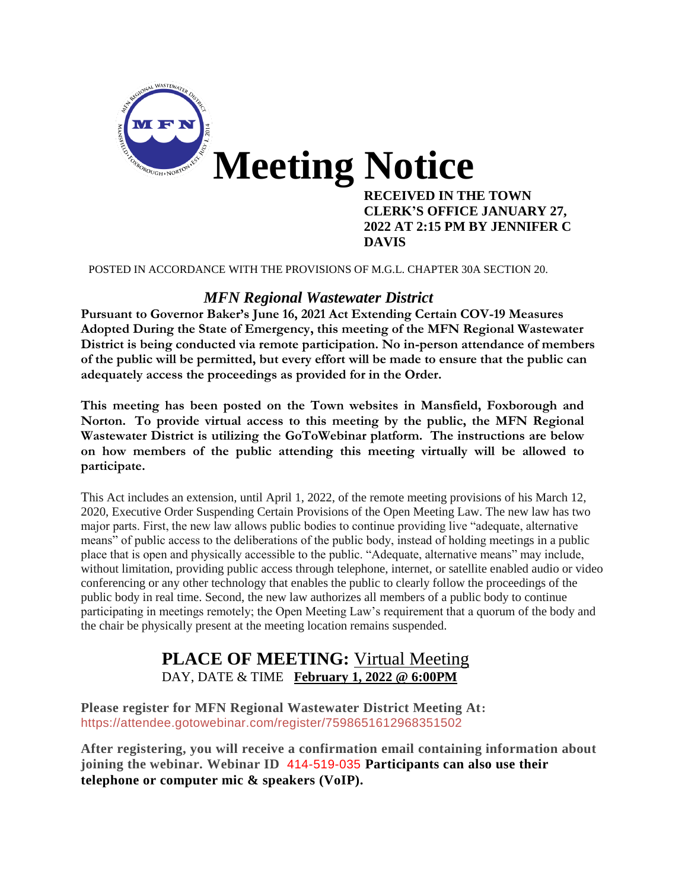

POSTED IN ACCORDANCE WITH THE PROVISIONS OF M.G.L. CHAPTER 30A SECTION 20.

#### *MFN Regional Wastewater District*

**Pursuant to Governor Baker's June 16, 2021 Act Extending Certain COV-19 Measures Adopted During the State of Emergency, this meeting of the MFN Regional Wastewater District is being conducted via remote participation. No in-person attendance of members of the public will be permitted, but every effort will be made to ensure that the public can adequately access the proceedings as provided for in the Order.**

**This meeting has been posted on the Town websites in Mansfield, Foxborough and Norton. To provide virtual access to this meeting by the public, the MFN Regional Wastewater District is utilizing the GoToWebinar platform. The instructions are below on how members of the public attending this meeting virtually will be allowed to participate.**

This Act includes an extension, until April 1, 2022, of the remote meeting provisions of his March 12, 2020, Executive Order Suspending Certain Provisions of the Open Meeting Law. The new law has two major parts. First, the new law allows public bodies to continue providing live "adequate, alternative means" of public access to the deliberations of the public body, instead of holding meetings in a public place that is open and physically accessible to the public. "Adequate, alternative means" may include, without limitation, providing public access through telephone, internet, or satellite enabled audio or video conferencing or any other technology that enables the public to clearly follow the proceedings of the public body in real time. Second, the new law authorizes all members of a public body to continue participating in meetings remotely; the Open Meeting Law's requirement that a quorum of the body and the chair be physically present at the meeting location remains suspended.

## **PLACE OF MEETING:** Virtual Meeting DAY, DATE & TIME **February 1, 2022 @ 6:00PM**

**Please register for MFN Regional Wastewater District Meeting At:**  <https://attendee.gotowebinar.com/register/7598651612968351502>

**After registering, you will receive a confirmation email containing information about joining the webinar. Webinar ID** 414-519-035 **Participants can also use their telephone or computer mic & speakers (VoIP).**